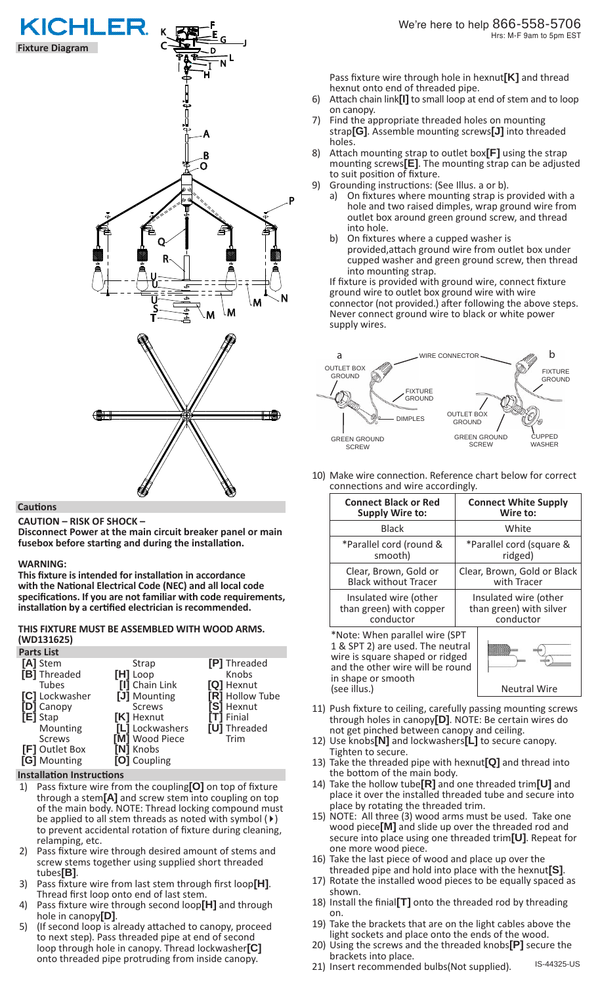

### **Cautions**

**CAUTION – RISK OF SHOCK –** 

**Disconnect Power at the main circuit breaker panel or main fusebox before starting and during the installation.** 

### **WARNING:**

**This fixture is intended for installation in accordance with the National Electrical Code (NEC) and all local code specifications. If you are not familiar with code requirements, installation by a certified electrician is recommended.**

# **THIS FIXTURE MUST BE ASSEMBLED WITH WOOD ARMS. (WD131625)**

| <b>Parts List</b>   |                 |                 |
|---------------------|-----------------|-----------------|
| [A] Stem            | <b>Strap</b>    | [P] Threaded    |
| [B] Threaded        | $[H]$ Loop      | Knobs           |
| <b>Tubes</b>        | [I] Chain Link  | [Q] Hexnut      |
| [C] Lockwasher      | [J] Mounting    | [R] Hollow Tube |
| [D] Canopy          | <b>Screws</b>   | [S] Hexnut      |
| [E] Stap            | [K] Hexnut      | [T] Finial      |
| Mounting            | [L] Lockwashers | [U] Threaded    |
| <b>Screws</b>       | [M] Wood Piece  | Trim            |
| [F] Outlet Box      | [N] Knobs       |                 |
| <b>[G]</b> Mounting | [O] Coupling    |                 |

### **Installation Instructions**

- 1) Pass fixture wire from the coupling**[O]** on top of fixture through a stem**[A]** and screw stem into coupling on top of the main body. NOTE: Thread locking compound must be applied to all stem threads as noted with symbol  $(\triangleright)$ to prevent accidental rotation of fixture during cleaning, relamping, etc.
- 2) Pass fixture wire through desired amount of stems and screw stems together using supplied short threaded tubes**[B]**.
- 3) Pass fixture wire from last stem through first loop**[H]**. Thread first loop onto end of last stem.
- 4) Pass fixture wire through second loop**[H]** and through hole in canopy**[D]**.
- 5) (If second loop is already attached to canopy, proceed to next step). Pass threaded pipe at end of second loop through hole in canopy. Thread lockwasher**[C]** onto threaded pipe protruding from inside canopy.

Pass fixture wire through hole in hexnut**[K]** and thread hexnut onto end of threaded pipe.

- 6) Attach chain link**[I]** to small loop at end of stem and to loop on canopy.
- 7) Find the appropriate threaded holes on mounting strap**[G]**. Assemble mounting screws**[J]** into threaded holes.
- 8) Attach mounting strap to outlet box**[F]** using the strap mounting screws**[E]**. The mounting strap can be adjusted to suit position of fixture.
- 9) Grounding instructions: (See Illus. a or b).
	- On fixtures where mounting strap is provided with a hole and two raised dimples, wrap ground wire from outlet box around green ground screw, and thread into hole.
	- b) On fixtures where a cupped washer is provided,attach ground wire from outlet box under cupped washer and green ground screw, then thread into mounting strap.

If fixture is provided with ground wire, connect fixture ground wire to outlet box ground wire with wire connector (not provided.) after following the above steps. Never connect ground wire to black or white power supply wires.



10) Make wire connection. Reference chart below for correct connections and wire accordingly.

| <b>Connect Black or Red</b>                                                                                                                                     | <b>Connect White Supply</b> |  |
|-----------------------------------------------------------------------------------------------------------------------------------------------------------------|-----------------------------|--|
| <b>Supply Wire to:</b>                                                                                                                                          | Wire to:                    |  |
| <b>Black</b>                                                                                                                                                    | White                       |  |
| *Parallel cord (round &                                                                                                                                         | *Parallel cord (square &    |  |
| smooth)                                                                                                                                                         | ridged)                     |  |
| Clear, Brown, Gold or                                                                                                                                           | Clear, Brown, Gold or Black |  |
| <b>Black without Tracer</b>                                                                                                                                     | with Tracer                 |  |
| Insulated wire (other                                                                                                                                           | Insulated wire (other       |  |
| than green) with copper                                                                                                                                         | than green) with silver     |  |
| conductor                                                                                                                                                       | conductor                   |  |
| *Note: When parallel wire (SPT<br>1 & SPT 2) are used. The neutral<br>wire is square shaped or ridged<br>and the other wire will be round<br>in shape or smooth |                             |  |
| (see illus.)                                                                                                                                                    | <b>Neutral Wire</b>         |  |

- 11) Push fixture to ceiling, carefully passing mounting screws through holes in canopy**[D]**. NOTE: Be certain wires do not get pinched between canopy and ceiling.
- 12) Use knobs**[N]** and lockwashers**[L]** to secure canopy. Tighten to secure.
- 13) Take the threaded pipe with hexnut**[Q]** and thread into the bottom of the main body.
- 14) Take the hollow tube**[R]** and one threaded trim**[U]** and place it over the installed threaded tube and secure into place by rotating the threaded trim.
- 15) NOTE: All three (3) wood arms must be used. Take one wood piece**[M]** and slide up over the threaded rod and secure into place using one threaded trim**[U]**. Repeat for one more wood piece.
- 16) Take the last piece of wood and place up over the threaded pipe and hold into place with the hexnut**[S]**.
- 17) Rotate the installed wood pieces to be equally spaced as shown.
- 18) Install the finial**[T]** onto the threaded rod by threading on.
- 19) Take the brackets that are on the light cables above the light sockets and place onto the ends of the wood.
- 20) Using the screws and the threaded knobs**[P]** secure the brackets into place.
- 21) Insert recommended bulbs(Not supplied).

IS-44325-US